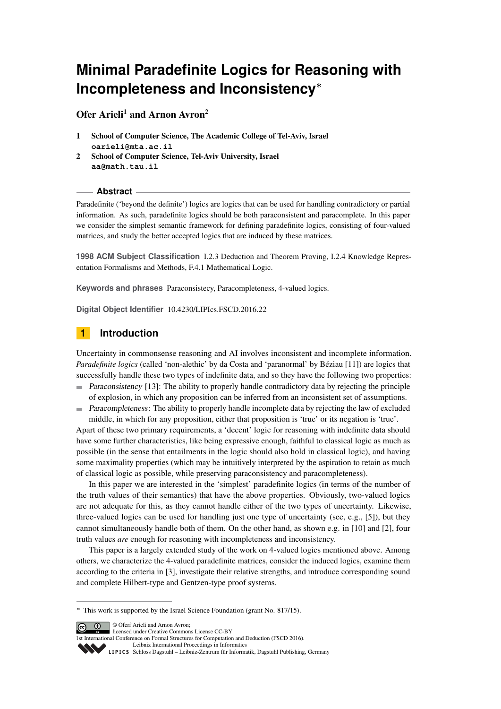# **Minimal Paradefinite Logics for Reasoning with Incompleteness and Inconsistency<sup>∗</sup>**

Ofer Arieli<sup>1</sup> and Arnon Avron<sup>2</sup>

- 1 School of Computer Science, The Academic College of Tel-Aviv, Israel **oarieli@mta.ac.il**
- 2 School of Computer Science, Tel-Aviv University, Israel **aa@math.tau.il**

#### **Abstract**

Paradefinite ('beyond the definite') logics are logics that can be used for handling contradictory or partial information. As such, paradefinite logics should be both paraconsistent and paracomplete. In this paper we consider the simplest semantic framework for defining paradefinite logics, consisting of four-valued matrices, and study the better accepted logics that are induced by these matrices.

**1998 ACM Subject Classification** I.2.3 Deduction and Theorem Proving, I.2.4 Knowledge Representation Formalisms and Methods, F.4.1 Mathematical Logic.

**Keywords and phrases** Paraconsistecy, Paracompleteness, 4-valued logics.

**Digital Object Identifier** [10.4230/LIPIcs.FSCD.2016.22](http://dx.doi.org/10.4230/LIPIcs.FSCD.2016.22)

# **1 Introduction**

Uncertainty in commonsense reasoning and AI involves inconsistent and incomplete information. *Paradefinite logics* (called 'non-alethic' by da Costa and 'paranormal' by Béziau [\[11\]](#page-13-0)) are logics that successfully handle these two types of indefinite data, and so they have the following two properties:

- Paraconsistency [\[13\]](#page-13-1): The ability to properly handle contradictory data by rejecting the principle of explosion, in which any proposition can be inferred from an inconsistent set of assumptions.
- Paracompleteness: The ability to properly handle incomplete data by rejecting the law of excluded middle, in which for any proposition, either that proposition is 'true' or its negation is 'true'.

Apart of these two primary requirements, a 'decent' logic for reasoning with indefinite data should have some further characteristics, like being expressive enough, faithful to classical logic as much as possible (in the sense that entailments in the logic should also hold in classical logic), and having some maximality properties (which may be intuitively interpreted by the aspiration to retain as much of classical logic as possible, while preserving paraconsistency and paracompleteness).

In this paper we are interested in the 'simplest' paradefinite logics (in terms of the number of the truth values of their semantics) that have the above properties. Obviously, two-valued logics are not adequate for this, as they cannot handle either of the two types of uncertainty. Likewise, three-valued logics can be used for handling just one type of uncertainty (see, e.g., [\[5\]](#page-13-2)), but they cannot simultaneously handle both of them. On the other hand, as shown e.g. in [\[10\]](#page-13-3) and [\[2\]](#page-13-4), four truth values *are* enough for reasoning with incompleteness and inconsistency.

This paper is a largely extended study of the work on 4-valued logics mentioned above. Among others, we characterize the 4-valued paradefinite matrices, consider the induced logics, examine them according to the criteria in [\[3\]](#page-13-5), investigate their relative strengths, and introduce corresponding sound and complete Hilbert-type and Gentzen-type proof systems.

**<sup>∗</sup>** This work is supported by the Israel Science Foundation (grant No. 817/15).



 $\begin{array}{|c|c|} \hline \textbf{G} & \textbf{O} \end{array}$  © Oferf Arieli and Arnon Avron: licensed under Creative Commons License CC-BY

1st International Conference on Formal Structures for Computation and Deduction (FSCD 2016).

[Leibniz International Proceedings in Informatics](http://www.dagstuhl.de/lipics/) Leibniz International Proceedings In International [Schloss Dagstuhl – Leibniz-Zentrum für Informatik, Dagstuhl Publishing, Germany](http://www.dagstuhl.de)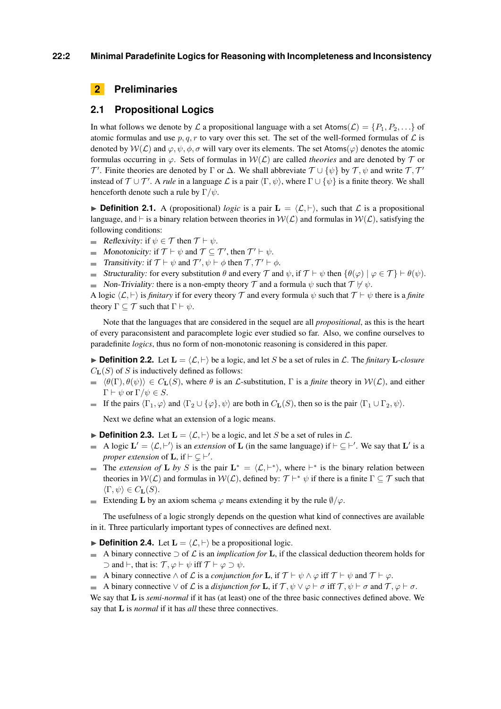# **2 Preliminaries**

## **2.1 Propositional Logics**

In what follows we denote by L a propositional language with a set Atoms( $\mathcal{L}$ ) = { $P_1, P_2, \ldots$ } of atomic formulas and use  $p, q, r$  to vary over this set. The set of the well-formed formulas of  $\mathcal L$  is denoted by  $W(\mathcal{L})$  and  $\varphi, \psi, \phi, \sigma$  will vary over its elements. The set Atoms( $\varphi$ ) denotes the atomic formulas occurring in  $\varphi$ . Sets of formulas in  $W(\mathcal{L})$  are called *theories* and are denoted by  $\mathcal T$  or T'. Finite theories are denoted by  $\Gamma$  or  $\Delta$ . We shall abbreviate  $\mathcal{T} \cup \{\psi\}$  by  $\mathcal{T}, \psi$  and write  $\mathcal{T}, \mathcal{T}'$ instead of  $\mathcal{T} \cup \mathcal{T}'$ . A *rule* in a language  $\mathcal{L}$  is a pair  $\langle \Gamma, \psi \rangle$ , where  $\Gamma \cup \{\psi\}$  is a finite theory. We shall henceforth denote such a rule by Γ*/ψ*.

**Definition 2.1.** A (propositional) *logic* is a pair  $\mathbf{L} = \langle \mathcal{L}, \vdash \rangle$ , such that  $\mathcal{L}$  is a propositional language, and  $\vdash$  is a binary relation between theories in  $W(\mathcal{L})$  and formulas in  $W(\mathcal{L})$ , satisfying the following conditions:

- Reflexivity: if  $\psi \in \mathcal{T}$  then  $\mathcal{T} \vdash \psi$ .
- Monotonicity: if  $\mathcal{T} \vdash \psi$  and  $\mathcal{T} \subseteq \mathcal{T}'$ , then  $\mathcal{T}' \vdash \psi$ .
- Transitivity: if  $\mathcal{T} \vdash \psi$  and  $\mathcal{T}', \psi \vdash \phi$  then  $\mathcal{T}, \mathcal{T}' \vdash \phi$ .
- Structurality: for every substitution  $\theta$  and every  $\mathcal{T}$  and  $\psi$ , if  $\mathcal{T} \vdash \psi$  then  $\{\theta(\varphi) \mid \varphi \in \mathcal{T}\}\vdash \theta(\psi)$ .
- Non-Triviality: there is a non-empty theory  $\mathcal T$  and a formula  $\psi$  such that  $\mathcal T \not\vdash \psi$ .

A logic  $\langle \mathcal{L}, \vdash \rangle$  is *finitary* if for every theory T and every formula  $\psi$  such that  $\mathcal{T} \vdash \psi$  there is a *finite* theory  $\Gamma \subseteq \mathcal{T}$  such that  $\Gamma \vdash \psi$ .

Note that the languages that are considered in the sequel are all *propositional*, as this is the heart of every paraconsistent and paracomplete logic ever studied so far. Also, we confine ourselves to paradefinite *logics*, thus no form of non-monotonic reasoning is considered in this paper.

 $\triangleright$  **Definition 2.2.** Let  $\mathbf{L} = \langle \mathcal{L}, \vdash \rangle$  be a logic, and let *S* be a set of rules in  $\mathcal{L}$ . The *finitary* **L***-closure*  $C_{\mathbf{L}}(S)$  of *S* is inductively defined as follows:

- $\phi(\mathbf{F}), \theta(\psi) \in C_{\mathbf{L}}(S)$ , where  $\theta$  is an L-substitution,  $\Gamma$  is a *finite* theory in  $\mathcal{W}(\mathcal{L})$ , and either  $\Gamma \vdash \psi$  or  $\Gamma/\psi \in S$ .
- If the pairs  $\langle \Gamma_1, \varphi \rangle$  and  $\langle \Gamma_2 \cup {\varphi} \rangle$ ,  $\psi$  are both in  $C_{\mathbf{L}}(S)$ , then so is the pair  $\langle \Gamma_1 \cup \Gamma_2, \psi \rangle$ .

Next we define what an extension of a logic means.

- <span id="page-1-1"></span>**Definition 2.3.** Let  $\mathbf{L} = \langle \mathcal{L}, \vdash \rangle$  be a logic, and let *S* be a set of rules in  $\mathcal{L}$ .
- A logic  $\mathbf{L}' = \langle \mathcal{L}, \vdash' \rangle$  is an *extension* of **L** (in the same language) if  $\vdash \subseteq \vdash'$ . We say that **L'** is a *proper extension* of **L**, if  $\vdash \subsetneq \vdash'$ .
- The *extension of* **L** *by S* is the pair  $L^* = \langle L, F^* \rangle$ , where  $F^*$  is the binary relation between theories in  $W(\mathcal{L})$  and formulas in  $W(\mathcal{L})$ , defined by:  $\mathcal{T} \vdash^* \psi$  if there is a finite  $\Gamma \subseteq \mathcal{T}$  such that  $\langle \Gamma, \psi \rangle \in C_{\mathbf{L}}(S)$ .
- Extending **L** by an axiom schema  $\varphi$  means extending it by the rule  $\varnothing/\varphi$ .

The usefulness of a logic strongly depends on the question what kind of connectives are available in it. Three particularly important types of connectives are defined next.

- <span id="page-1-0"></span> $\triangleright$  **Definition 2.4.** Let  $\mathbf{L} = \langle \mathcal{L}, \vdash \rangle$  be a propositional logic.
- A binary connective  $\supset$  of  $\mathcal L$  is an *implication for* **L**, if the classical deduction theorem holds for  $\supset$  and  $\vdash$ , that is: *T*,  $\varphi$   $\vdash$   $\psi$  iff *T*  $\vdash$   $\varphi$   $\supset$   $\psi$ .
- A binary connective  $\wedge$  of  $\mathcal L$  is a *conjunction for* **L**, if  $\mathcal T \vdash \psi \wedge \varphi$  iff  $\mathcal T \vdash \psi$  and  $\mathcal T \vdash \varphi$ .
- A binary connective  $\vee$  of L is a *disjunction for* **L**, if  $\mathcal{T}, \psi \vee \varphi \vdash \sigma$  iff  $\mathcal{T}, \psi \vdash \sigma$  and  $\mathcal{T}, \varphi \vdash \sigma$ .

We say that **L** is *semi-normal* if it has (at least) one of the three basic connectives defined above. We say that **L** is *normal* if it has *all* these three connectives.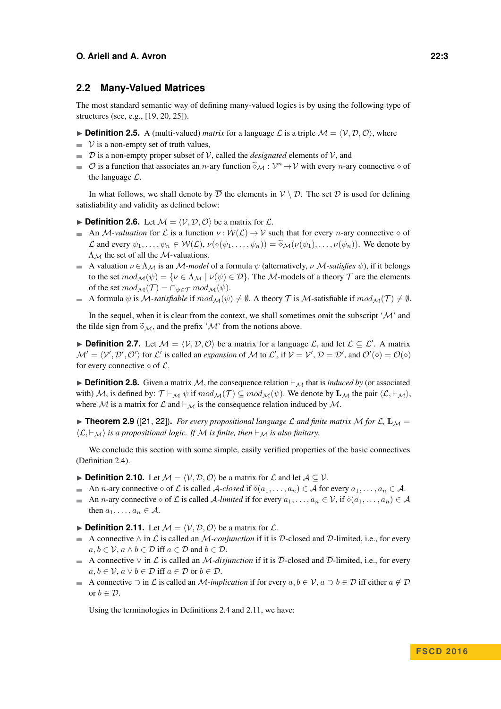## **2.2 Many-Valued Matrices**

The most standard semantic way of defining many-valued logics is by using the following type of structures (see, e.g., [\[19,](#page-13-6) [20,](#page-13-7) [25\]](#page-13-8)).

<span id="page-2-1"></span>**• Definition 2.5.** A (multi-valued) *matrix* for a language L is a triple  $M = \langle V, D, O \rangle$ , where

- $\rightarrow$  V is a non-empty set of truth values,
- D is a non-empty proper subset of V, called the *designated* elements of V, and
- $\mathcal{O}$  is a function that associates an *n*-ary function  $\widetilde{\diamond}_{\mathcal{M}} : \mathcal{V}^n \to \mathcal{V}$  with every *n*-ary connective  $\diamond$  of the language  $\mathcal{C}$ the language  $\mathcal{L}$ .

In what follows, we shall denote by  $\overline{\mathcal{D}}$  the elements in  $\mathcal{V} \setminus \mathcal{D}$ . The set  $\mathcal{D}$  is used for defining satisfiability and validity as defined below:

**Definition 2.6.** Let  $M = \langle V, D, O \rangle$  be a matrix for  $\mathcal{L}$ .

- An M-valuation for L is a function  $\nu : \mathcal{W}(\mathcal{L}) \to \mathcal{V}$  such that for every *n*-ary connective  $\diamond$  of L and every  $\psi_1, \ldots, \psi_n \in \mathcal{W}(\mathcal{L}), \nu(\diamond(\psi_1, \ldots, \psi_n)) = \tilde{\diamond}_{\mathcal{M}}(\nu(\psi_1), \ldots, \nu(\psi_n)).$  We denote by  $\Lambda_M$  the set of all the M-valuations.
- A valuation  $\nu \in \Lambda_{\mathcal{M}}$  is an M-model of a formula  $\psi$  (alternatively,  $\nu$  M-satisfies  $\psi$ ), if it belongs to the set  $mod_{\mathcal{M}}(\psi) = \{ \nu \in \Lambda_{\mathcal{M}} \mid \nu(\psi) \in \mathcal{D} \}$ . The M-models of a theory  $\mathcal T$  are the elements of the set  $mod_{\mathcal{M}}(\mathcal{T}) = \bigcap_{\psi \in \mathcal{T}} mod_{\mathcal{M}}(\psi)$ .
- A formula  $\psi$  is M-satisfiable if  $mod_{\mathcal{M}}(\psi) \neq \emptyset$ . A theory T is M-satisfiable if  $mod_{\mathcal{M}}(\mathcal{T}) \neq \emptyset$ .

In the sequel, when it is clear from the context, we shall sometimes omit the subscript  $^{\prime}$ M' and the tilde sign from  $\tilde{\diamond}_{\mathcal{M}}$ , and the prefix ' $\mathcal{M}$ ' from the notions above.

**Definition 2.7.** Let  $M = \langle V, D, O \rangle$  be a matrix for a language L, and let  $\mathcal{L} \subseteq \mathcal{L}'$ . A matrix  $\mathcal{M}' = \langle V', \mathcal{D}', \mathcal{O}' \rangle$  for L' is called an *expansion* of M to L', if  $V = V', \mathcal{D} = \mathcal{D}'$ , and  $\mathcal{O}'(\diamond) = \mathcal{O}(\diamond)$ for every connective  $\diamond$  of  $\mathcal{L}$ .

<span id="page-2-2"></span>**Definition 2.8.** Given a matrix M, the consequence relation  $\vdash_{\mathcal{M}}$  that is *induced by* (or associated with) M, is defined by:  $\mathcal{T} \vdash_{\mathcal{M}} \psi$  if  $mod_{\mathcal{M}}(\mathcal{T}) \subseteq mod_{\mathcal{M}}(\psi)$ . We denote by  $\mathbf{L}_{\mathcal{M}}$  the pair  $\langle \mathcal{L}, \vdash_{\mathcal{M}} \rangle$ , where M is a matrix for L and  $\vdash_{\mathcal{M}}$  is the consequence relation induced by M.

**• Theorem 2.9** ([\[21,](#page-13-9) [22\]](#page-13-10)). *For every propositional language L and finite matrix* M *for* L,  $L_M =$  $\langle L, \vdash_{\mathcal{M}} \rangle$  *is a propositional logic. If* M *is finite, then*  $\vdash_{\mathcal{M}}$  *is also finitary.* 

We conclude this section with some simple, easily verified properties of the basic connectives (Definition [2.4\)](#page-1-0).

- **► Definition 2.10.** Let  $M = \langle V, D, O \rangle$  be a matrix for L and let  $A \subseteq V$ .
- An *n*-ary connective  $\diamond$  of L is called A-closed if  $\delta(a_1, \ldots, a_n) \in A$  for every  $a_1, \ldots, a_n \in A$ .
- An *n*-ary connective  $\diamond$  of L is called A-limited if for every  $a_1, \ldots, a_n \in V$ , if  $\delta(a_1, \ldots, a_n) \in A$ then  $a_1, \ldots, a_n \in A$ .
- <span id="page-2-0"></span>**Definition 2.11.** Let  $M = \langle V, \mathcal{D}, \mathcal{O} \rangle$  be a matrix for  $\mathcal{L}$ .
- A connective ∧ in L is called an M*-conjunction* if it is D-closed and D-limited, i.e., for every  $a, b \in V$ ,  $a \wedge b \in \mathcal{D}$  iff  $a \in \mathcal{D}$  and  $b \in \mathcal{D}$ .
- A connective  $\vee$  in  $\mathcal L$  is called an *M-disjunction* if it is  $\overline{\mathcal D}$ -closed and  $\overline{\mathcal D}$ -limited, i.e., for every  $a, b \in V$ ,  $a \vee b \in \mathcal{D}$  iff  $a \in \mathcal{D}$  or  $b \in \mathcal{D}$ .
- A connective  $\supset$  in L is called an M-implication if for every  $a, b \in V$ ,  $a \supset b \in D$  iff either  $a \notin D$ or  $b \in \mathcal{D}$ .

Using the terminologies in Definitions [2.4](#page-1-0) and [2.11,](#page-2-0) we have: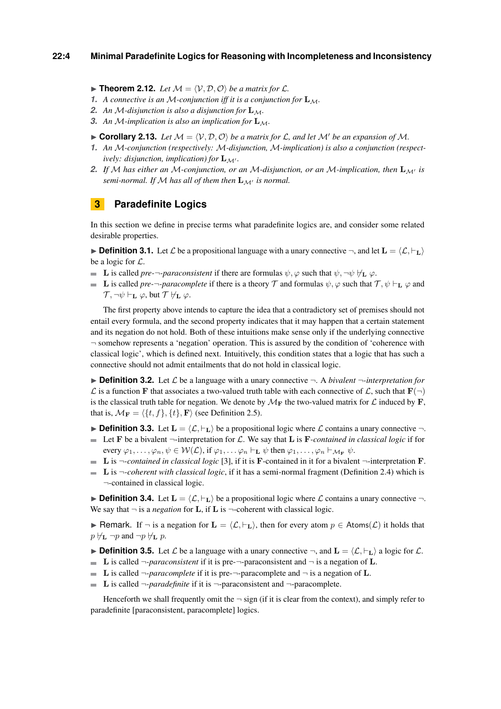#### **22:4 Minimal Paradefinite Logics for Reasoning with Incompleteness and Inconsistency**

<span id="page-3-0"></span> $\blacktriangleright$  **Theorem 2.12.** Let  $\mathcal{M} = \langle \mathcal{V}, \mathcal{D}, \mathcal{O} \rangle$  be a matrix for  $\mathcal{L}$ .

- **1.** A connective is an M-conjunction iff it is a conjunction for  $\mathbf{L}_M$ .
- **2.** An M-disjunction is also a disjunction for  $\mathbf{L}_M$ .
- **3.** An M-implication is also an implication for  $\mathbf{L}_M$ .
- $\triangleright$  **Corollary 2.13.** Let  $M = \langle V, D, O \rangle$  be a matrix for L, and let M' be an expansion of M.
- *1. An* M*-conjunction (respectively:* M*-disjunction,* M*-implication) is also a conjunction (respectively: disjunction, implication) for*  $\mathbf{L}_{\mathcal{M}'}$ *.*
- 2. If M has either an M-conjunction, or an M-disjunction, or an M-implication, then  $\mathbf{L}_{M'}$  is *semi-normal. If*  $M$  *has all of them then*  $L_M$  *is normal.*

## **3 Paradefinite Logics**

In this section we define in precise terms what paradefinite logics are, and consider some related desirable properties.

**IDefinition 3.1.** Let L be a propositional language with a unary connective  $\neg$ , and let  $\mathbf{L} = \langle \mathcal{L}, \vdash_{\mathbf{L}} \rangle$ be a logic for  $\mathcal{L}$ .

- **L** is called *pre*- $\neg$ -*paraconsistent* if there are formulas  $\psi$ ,  $\varphi$  such that  $\psi$ ,  $\neg \psi \nvdash_{\mathbf{L}} \varphi$ .
- **L** is called *pre*- $\neg$ *-paracomplete* if there is a theory T and formulas  $\psi$ ,  $\varphi$  such that  $\mathcal{T}, \psi \vdash_{\mathbf{L}} \varphi$  and  $\mathcal{T}, \neg \psi \vdash_{\mathbf{L}} \varphi$ , but  $\mathcal{T} \not\models_{\mathbf{L}} \varphi$ .

The first property above intends to capture the idea that a contradictory set of premises should not entail every formula, and the second property indicates that it may happen that a certain statement and its negation do not hold. Both of these intuitions make sense only if the underlying connective  $\neg$  somehow represents a 'negation' operation. This is assured by the condition of 'coherence with classical logic', which is defined next. Intuitively, this condition states that a logic that has such a connective should not admit entailments that do not hold in classical logic.

**Definition 3.2.** Let  $\mathcal{L}$  be a language with a unary connective  $\neg$ . A *bivalent*  $\neg$ *-interpretation for*  $\mathcal L$  is a function **F** that associates a two-valued truth table with each connective of  $\mathcal L$ , such that  $\mathbf F(\neg)$ is the classical truth table for negation. We denote by  $\mathcal{M}_F$  the two-valued matrix for  $\mathcal L$  induced by  $\mathbf F$ , that is,  $M_{\mathbf{F}} = \langle \{t, f\}, \{t\}, \mathbf{F} \rangle$  (see Definition [2.5\)](#page-2-1).

- **Definition 3.3.** Let  $\mathbf{L} = \langle \mathcal{L}, \vdash_{\mathbf{L}} \rangle$  be a propositional logic where  $\mathcal{L}$  contains a unary connective  $\neg$ . Let **F** be a bivalent  $\neg$ -interpretation for L. We say that **L** is **F***-contained in classical logic* if for
- every  $\varphi_1, \ldots, \varphi_n, \psi \in \mathcal{W}(\mathcal{L}),$  if  $\varphi_1, \ldots, \varphi_n \vdash_{\mathbf{L}} \psi$  then  $\varphi_1, \ldots, \varphi_n \vdash_{\mathcal{M}_{\mathbf{F}}} \psi$ .
- **L** is  $\neg$ -contained in classical logic [\[3\]](#page-13-5), if it is **F**-contained in it for a bivalent  $\neg$ -interpretation **F**.
- **L** is ¬*-coherent with classical logic*, if it has a semi-normal fragment (Definition [2.4\)](#page-1-0) which is ¬-contained in classical logic.

**Definition 3.4.** Let  $\mathbf{L} = \langle \mathcal{L}, \vdash_{\mathbf{L}} \rangle$  be a propositional logic where  $\mathcal{L}$  contains a unary connective  $\neg$ . We say that  $\neg$  is a *negation* for **L**, if **L** is  $\neg$ -coherent with classical logic.

**► Remark.** If  $\neg$  is a negation for  $\mathbf{L} = \langle \mathcal{L}, \vdash_{\mathbf{L}} \rangle$ , then for every atom  $p \in \text{Atoms}(\mathcal{L})$  it holds that  $p \not\vdash_{\mathbf{L}} \neg p$  and  $\neg p \not\vdash_{\mathbf{L}} p$ .

**Definition 3.5.** Let  $\mathcal{L}$  be a language with a unary connective  $\neg$ , and  $\mathbf{L} = \langle \mathcal{L}, \vdash_{\mathbf{L}} \rangle$  a logic for  $\mathcal{L}$ .

- **L** is called  $\neg$ -*paraconsistent* if it is pre- $\neg$ -paraconsistent and  $\neg$  is a negation of **L**.
- **L** is called  $\neg$ -*paracomplete* if it is pre- $\neg$ -paracomplete and  $\neg$  is a negation of **L**.
- **L** is called  $\neg$ -*paradefinite* if it is  $\neg$ -paraconsistent and  $\neg$ -paracomplete.

Henceforth we shall frequently omit the  $\neg$  sign (if it is clear from the context), and simply refer to paradefinite [paraconsistent, paracomplete] logics.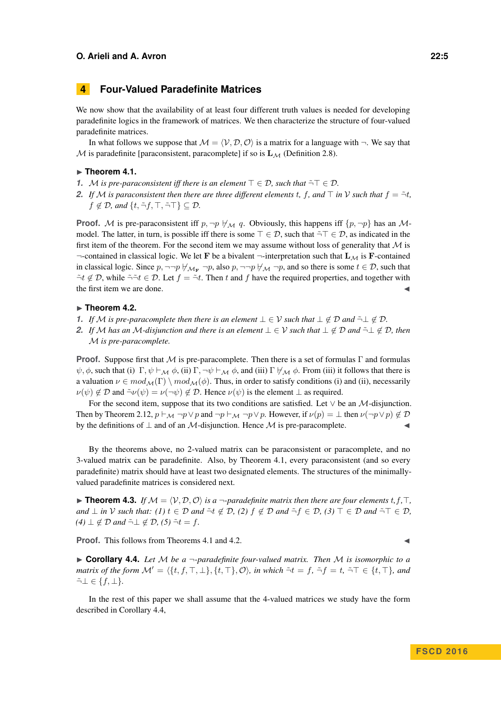# **4 Four-Valued Paradefinite Matrices**

We now show that the availability of at least four different truth values is needed for developing paradefinite logics in the framework of matrices. We then characterize the structure of four-valued paradefinite matrices.

In what follows we suppose that  $M = \langle V, D, O \rangle$  is a matrix for a language with  $\neg$ . We say that M is paradefinite [paraconsistent, paracomplete] if so is  $\mathbf{L}_{\mathcal{M}}$  (Definition [2.8\)](#page-2-2).

#### <span id="page-4-0"></span>► Theorem 4.1.

- **1.** M is pre-paraconsistent iff there is an element  $\top \in \mathcal{D}$ , such that  $\tilde{\neg} \top \in \mathcal{D}$ .
- 2. If M is paraconsistent then there are three different elements t, f, and  $\top$  in V such that  $f = \tilde{\neg} t$ ,  $f \notin \mathcal{D}$ *, and*  $\{t, \tilde{\neg} f, \top, \tilde{\neg} \top\} \subseteq \mathcal{D}$ *.*

**Proof.** M is pre-paraconsistent iff  $p, \neg p \nleftrightarroweq q$ . Obviously, this happens iff  $\{p, \neg p\}$  has an Mmodel. The latter, in turn, is possible iff there is some  $\top \in \mathcal{D}$ , such that  $\tilde{\neg} \top \in \mathcal{D}$ , as indicated in the first item of the theorem. For the second item we may assume without loss of generality that  $M$  is  $\neg$ -contained in classical logic. We let **F** be a bivalent  $\neg$ -interpretation such that  $L_M$  is **F**-contained in classical logic. Since  $p, \neg\neg p \nleftrightarrow_{\mathcal{M}_{\mathbf{F}}} \neg p$ , also  $p, \neg\neg p \nleftrightarrow_{\mathcal{M}} \neg p$ , and so there is some  $t \in \mathcal{D}$ , such that  $\tilde{\neg}t \notin \mathcal{D}$ , while  $\tilde{\neg}t \in \mathcal{D}$ . Let  $f = \tilde{\neg}t$ . Then *t* and *f* have the required properties, and together with the first item we are done.

#### <span id="page-4-1"></span>► Theorem 4.2.

- *1. If M is pre-paracomplete then there is an element*  $\bot \in V$  *such that*  $\bot \notin \mathcal{D}$  *and*  $\tilde{\neg} \bot \notin \mathcal{D}$ *.*
- *2. If* M has an M-disjunction and there is an element  $\bot \in V$  *such that*  $\bot \notin \mathcal{D}$  *and*  $\tilde{\neg} \bot \notin \mathcal{D}$ *, then* M *is pre-paracomplete.*

**Proof.** Suppose first that M is pre-paracomplete. Then there is a set of formulas  $\Gamma$  and formulas  $\psi$ ,  $\phi$ , such that (i)  $\Gamma$ ,  $\psi \vdash_{\mathcal{M}} \phi$ , (ii)  $\Gamma$ ,  $\neg \psi \vdash_{\mathcal{M}} \phi$ , and (iii)  $\Gamma \not \vdash_{\mathcal{M}} \phi$ . From (iii) it follows that there is a valuation  $\nu \in mod_{\mathcal{M}}(\Gamma) \setminus mod_{\mathcal{M}}(\phi)$ . Thus, in order to satisfy conditions (i) and (ii), necessarily  $\nu(\psi) \notin \mathcal{D}$  and  $\tilde{\neg} \nu(\psi) = \nu(\neg \psi) \notin \mathcal{D}$ . Hence  $\nu(\psi)$  is the element  $\perp$  as required.

For the second item, suppose that its two conditions are satisfied. Let  $\vee$  be an M-disjunction. Then by Theorem [2.12,](#page-3-0)  $p \vdash_M \neg p \lor p$  and  $\neg p \vdash_M \neg p \lor p$ . However, if  $\nu(p) = \bot$  then  $\nu(\neg p \lor p) \notin \mathcal{D}$ by the definitions of  $\perp$  and of an M-disjunction. Hence M is pre-paracomplete.

By the theorems above, no 2-valued matrix can be paraconsistent or paracomplete, and no 3-valued matrix can be paradefinite. Also, by Theorem [4.1,](#page-4-0) every paraconsistent (and so every paradefinite) matrix should have at least two designated elements. The structures of the minimallyvalued paradefinite matrices is considered next.

 $\triangleright$  **Theorem 4.3.** *If*  $\mathcal{M} = \langle \mathcal{V}, \mathcal{D}, \mathcal{O} \rangle$  *is a*  $\neg$ *-paradefinite matrix then there are four elements t, f,*  $\top$ *, and*  $\perp$  *in*  $\vee$  *such that:* (1)  $t \in \mathcal{D}$  *and*  $\tilde{\neg}t \notin \mathcal{D}$ , (2)  $f \notin \mathcal{D}$  *and*  $\tilde{\neg}f \in \mathcal{D}$ , (3)  $\top \in \mathcal{D}$  *and*  $\tilde{\neg} \top \in \mathcal{D}$ ,  $(4)$  ⊥ ∉ *D and*  $\tilde{\neg}$  ⊥ ∉ *D*,  $(5)$   $\tilde{\neg}$ *t* = *f.* 

**Proof.** This follows from Theorems [4.1](#page-4-0) and [4.2.](#page-4-1)

<span id="page-4-2"></span>**Corollary 4.4.** Let M be a  $\neg$ -paradefinite four-valued matrix. Then M is isomorphic to a *matrix of the form*  $M' = \{ \{t, f, \top, \bot\}, \{t, \top\}, \mathcal{O} \}$ *, in which*  $\tilde{\neg}t = f$ *,*  $\tilde{\neg}f = t$ *,*  $\tilde{\neg} \top \in \{t, \top\}$ *, and*  $\tilde{\neg} \bot \in \{f, \bot\}.$ 

In the rest of this paper we shall assume that the 4-valued matrices we study have the form described in Corollary [4.4,](#page-4-2)

$$
\blacksquare
$$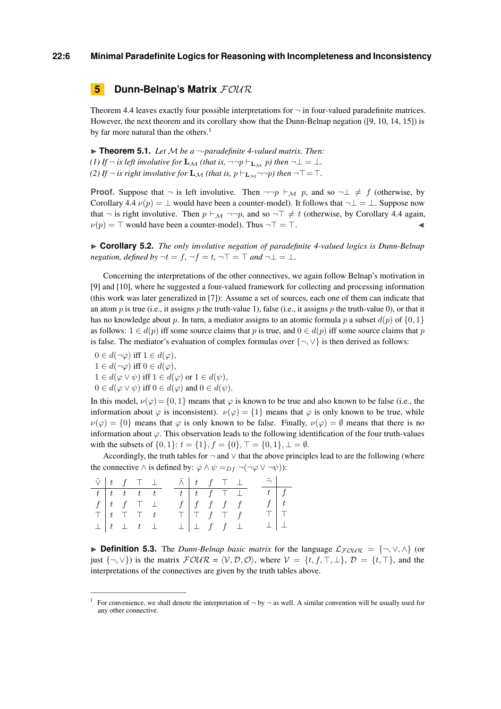#### **22:6 Minimal Paradefinite Logics for Reasoning with Incompleteness and Inconsistency**

# **5 Dunn-Belnap's Matrix**  $FOWR$

Theorem [4.4](#page-4-2) leaves exactly four possible interpretations for  $\neg$  in four-valued paradefinite matrices. However, the next theorem and its corollary show that the Dunn-Belnap negation ([\[9,](#page-13-11) [10,](#page-13-3) [14,](#page-13-12) [15\]](#page-13-13)) is by far more natural than the others.<sup>1</sup>

 $\triangleright$  **Theorem 5.1.** *Let* M *be a*  $\neg$ -*paradefinite 4-valued matrix. Then: (1)* If  $\neg$  *is left involutive for*  $\mathbf{L}_{\mathcal{M}}$  *(that is,*  $\neg \neg p \vdash_{\mathbf{L}_{\mathcal{M}}} p$ *) then*  $\neg \bot = \bot$ *. (2)* If  $\neg$  *is right involutive for*  $\mathbf{L}_M$  *(that is,*  $p \vdash_{\mathbf{L}_M} \neg \neg p$ *) then*  $\neg T = T$ *.* 

**Proof.** Suppose that  $\neg$  is left involutive. Then  $\neg \neg p \vdash_M p$ , and so  $\neg \bot \neq f$  (otherwise, by Corollary [4.4](#page-4-2)  $\nu(p) = \perp$  would have been a counter-model). It follows that  $\neg \perp = \perp$ . Suppose now that  $\neg$  is right involutive. Then  $p \vdash_M \neg\neg p$ , and so  $\neg \top \neq t$  (otherwise, by Corollary [4.4](#page-4-2) again,  $\nu(p) = \top$  would have been a counter-model). Thus  $\neg \top = \top$ .

<span id="page-5-0"></span>▶ Corollary 5.2. *The only involutive negation of paradefinite 4-valued logics is Dunn-Belnap negation, defined by*  $\neg t = f$ ,  $\neg f = t$ ,  $\neg T = T$  and  $\neg \bot = \bot$ .

Concerning the interpretations of the other connectives, we again follow Belnap's motivation in [\[9\]](#page-13-11) and [\[10\]](#page-13-3), where he suggested a four-valued framework for collecting and processing information (this work was later generalized in [\[7\]](#page-13-14)): Assume a set of sources, each one of them can indicate that an atom *p* is true (i.e., it assigns *p* the truth-value 1), false (i.e., it assigns *p* the truth-value 0), or that it has no knowledge about *p*. In turn, a mediator assigns to an atomic formula *p* a subset  $d(p)$  of  $\{0, 1\}$ as follows:  $1 \in d(p)$  iff some source claims that *p* is true, and  $0 \in d(p)$  iff some source claims that *p* is false. The mediator's evaluation of complex formulas over  $\{\neg, \vee\}$  is then derived as follows:

 $0 \in d(\neg \varphi)$  iff  $1 \in d(\varphi)$ ,  $1 \in d(\neg \varphi)$  iff  $0 \in d(\varphi)$ ,  $1 \in d(\varphi \vee \psi)$  iff  $1 \in d(\varphi)$  or  $1 \in d(\psi)$ ,  $0 \in d(\varphi \vee \psi)$  iff  $0 \in d(\varphi)$  and  $0 \in d(\psi)$ .

In this model,  $\nu(\varphi) = \{0, 1\}$  means that  $\varphi$  is known to be true and also known to be false (i.e., the information about  $\varphi$  is inconsistent).  $\nu(\varphi) = \{1\}$  means that  $\varphi$  is only known to be true, while  $\nu(\varphi) = \{0\}$  means that  $\varphi$  is only known to be false. Finally,  $\nu(\varphi) = \emptyset$  means that there is no information about  $\varphi$ . This observation leads to the following identification of the four truth-values with the subsets of  $\{0, 1\}$ :  $t = \{1\}$ ,  $f = \{0\}$ ,  $\top = \{0, 1\}$ ,  $\bot = \emptyset$ .

Accordingly, the truth tables for  $\neg$  and  $\vee$  that the above principles lead to are the following (where the connective  $\land$  is defined by:  $\varphi \land \psi =_{Df} \neg(\neg \varphi \lor \neg \psi)$ :

|  | $\tilde{\vee}$ $\begin{array}{ccc} t & f & \top & \bot \end{array}$ |  | $\tilde{\wedge}$ $\begin{array}{ccc} t & f & \top & \bot \end{array}$ |                                 |  |  | $\tilde{\neg}$ |  |
|--|---------------------------------------------------------------------|--|-----------------------------------------------------------------------|---------------------------------|--|--|----------------|--|
|  | $t \mid t \mid t \mid t \mid t \mid t$                              |  |                                                                       | $t$   $t$   $f$   $\top$        |  |  | $t \mid f$     |  |
|  | $f \left  t \right  f \left  \right. \top \left. \bot$              |  |                                                                       | $f \mid f \mid f \mid f \mid f$ |  |  |                |  |
|  | $\top$ $t$ $\top$ $\top$ $t$                                        |  |                                                                       | T   T f T f                     |  |  |                |  |
|  | $\perp$ $t$ $\perp$ $t$ $\perp$                                     |  |                                                                       | $\perp$ $\perp$ f f $\perp$     |  |  |                |  |

**Definition 5.3.** The *Dunn-Belnap basic matrix* for the language  $\mathcal{L}_{FOUR} = \{\neg, \vee, \wedge\}$  (or just  $\{\neg, \vee\}$ ) is the matrix  $\mathcal{FOUR} = \langle \mathcal{V}, \mathcal{D}, \mathcal{O} \rangle$ , where  $\mathcal{V} = \{t, f, \top, \bot\}$ ,  $\mathcal{D} = \{t, \top\}$ , and the interpretations of the connectives are given by the truth tables above.

<sup>&</sup>lt;sup>1</sup> For convenience, we shall denote the interpretation of  $\neg$  by  $\neg$  as well. A similar convention will be usually used for any other connective.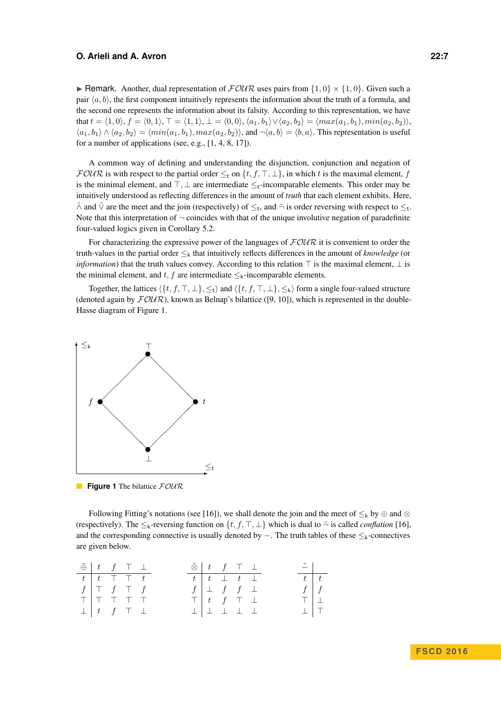**I** Remark. Another, dual representation of  $\mathcal{FOUR}$  uses pairs from  $\{1,0\} \times \{1,0\}$ . Given such a pair  $\langle a, b \rangle$ , the first component intuitively represents the information about the truth of a formula, and the second one represents the information about its falsity. According to this representation, we have that  $t = (1, 0), f = (0, 1), T = (1, 1), \bot = (0, 0), \langle a_1, b_1 \rangle \vee \langle a_2, b_2 \rangle = \langle max(a_1, b_1), min(a_2, b_2) \rangle$ ,  $\langle a_1, b_1 \rangle \wedge \langle a_2, b_2 \rangle = \langle min(a_1, b_1), max(a_2, b_2) \rangle$ , and  $\neg \langle a, b \rangle = \langle b, a \rangle$ . This representation is useful for a number of applications (see, e.g., [\[1,](#page-13-15) [4,](#page-13-16) [8,](#page-13-17) [17\]](#page-13-18)).

A common way of defining and understanding the disjunction, conjunction and negation of  $\mathcal{FOUR}$  is with respect to the partial order  $\leq_t$  on  $\{t, f, \top, \bot\}$ , in which *t* is the maximal element, *f* is the minimal element, and  $\top$ ,  $\bot$  are intermediate  $\leq$ <sub>t</sub>-incomparable elements. This order may be intuitively understood as reflecting differences in the amount of *truth* that each element exhibits. Here,  $\tilde{\wedge}$  and  $\tilde{\vee}$  are the meet and the join (respectively) of  $\leq_t$ , and  $\tilde{\neg}$  is order reversing with respect to  $\leq_t$ . Note that this interpretation of  $\neg$  coincides with that of the unique involutive negation of paradefinite four-valued logics given in Corollary [5.2.](#page-5-0)

For characterizing the expressive power of the languages of  $FOUR$  it is convenient to order the truth-values in the partial order ≤<sup>k</sup> that intuitively reflects differences in the amount of *knowledge* (or *information*) that the truth values convey. According to this relation  $\top$  is the maximal element,  $\bot$  is the minimal element, and  $t, f$  are intermediate  $\leq_k$ -incomparable elements.

Together, the lattices  $\langle \{t, f, \top, \bot\}, \leq_t \rangle$  and  $\langle \{t, f, \top, \bot\}, \leq_k \rangle$  form a single four-valued structure (denoted again by  $F\mathcal{OUP}$ ), known as Belnap's bilattice ([\[9,](#page-13-11) [10\]](#page-13-3)), which is represented in the double-Hasse diagram of Figure [1.](#page-6-0)

<span id="page-6-0"></span>

**Figure 1** The bilattice  $FOWR$ 

Following Fitting's notations (see [\[16\]](#page-13-19)), we shall denote the join and the meet of  $\leq_k$  by  $\oplus$  and  $\otimes$ (respectively). The  $\leq_k$ -reversing function on  $\{t, f, \top, \bot\}$  which is dual to  $\tilde{\neg}$  is called *conflation* [\[16\]](#page-13-19), and the corresponding connective is usually denoted by  $-$ . The truth tables of these  $\leq_k$ -connectives are given below.

| $\tilde{\oplus}$ $\begin{array}{ccc} t & f & \top \end{array}$ |                                 |  |  | $\tilde{\otimes}$ $\begin{array}{ccc} t & f & \top & \bot \end{array}$ |  |  | $-$           |     |
|----------------------------------------------------------------|---------------------------------|--|--|------------------------------------------------------------------------|--|--|---------------|-----|
|                                                                | $t$ $t$ $\top$ $\top$ $t$       |  |  | $t$ $t$ $\perp$ $t$ $\perp$                                            |  |  | $t \,   \, t$ |     |
|                                                                | $f \mid \top$ $f \mid \top$ $f$ |  |  | $f \perp f f \perp$                                                    |  |  | $f \mid f$    |     |
|                                                                | TTTTT                           |  |  | $\top$ $t$ $f$ $\top$ $\bot$                                           |  |  | $T \perp$     |     |
|                                                                | $\perp$ $\perp$ $f$ $\perp$     |  |  | $\bot \bot \bot \bot \bot$                                             |  |  |               | 工丨工 |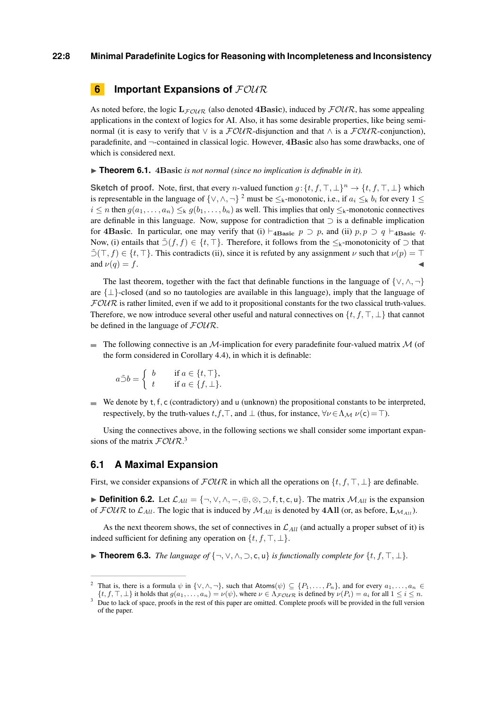#### **22:8 Minimal Paradefinite Logics for Reasoning with Incompleteness and Inconsistency**

# **6 Important Expansions of**  $\text{FOLR}$

As noted before, the logic  $L_{F\text{CUTR}}$  (also denoted **4Basic**), induced by  $\text{FOUR}$ , has some appealing applications in the context of logics for AI. Also, it has some desirable properties, like being seminormal (it is easy to verify that  $\lor$  is a  $\mathcal{FOUR}$ -disjunction and that  $\land$  is a  $\mathcal{FOUR}$ -conjunction), paradefinite, and ¬-contained in classical logic. However, **4Basic** also has some drawbacks, one of which is considered next.

▶ **Theorem 6.1.** 4Basic *is not normal (since no implication is definable in it).* 

**Sketch of proof.** Note, first, that every *n*-valued function  $g: \{t, f, \top, \bot\}^n \to \{t, f, \top, \bot\}$  which is representable in the language of  $\{\vee, \wedge, \neg\}$  <sup>2</sup> must be  $\leq_k$ -monotonic, i.e., if  $a_i \leq_k b_i$  for every  $1 \leq$  $i \le n$  then  $g(a_1, \ldots, a_n) \le k$   $g(b_1, \ldots, b_n)$  as well. This implies that only  $\le k$ -monotonic connectives are definable in this language. Now, suppose for contradiction that ⊃ is a definable implication for **4Basic**. In particular, one may verify that (i)  $\models$ **4Basic** *p*  $\supset$  *p*, and (ii)  $p, p \supset q \models$ **4Basic** *q*. Now, (i) entails that  $\tilde{\supset}(f, f) \in \{t, \top\}$ . Therefore, it follows from the  $\leq_k$ -monotonicity of  $\supset$  that  $\tilde{\supset}(T, f) \in \{t, T\}$ . This contradicts (ii), since it is refuted by any assignment *ν* such that  $\nu(p) = T$ and  $\nu(q) = f$ .

The last theorem, together with the fact that definable functions in the language of  $\{\vee, \wedge, \neg\}$ are  $\{\perp\}$ -closed (and so no tautologies are available in this language), imply that the language of  $FOUR$  is rather limited, even if we add to it propositional constants for the two classical truth-values. Therefore, we now introduce several other useful and natural connectives on  $\{t, f, \top, \bot\}$  that cannot be defined in the language of  $FOUR$ .

 $\blacksquare$  The following connective is an M-implication for every paradefinite four-valued matrix M (of the form considered in Corollary [4.4\)](#page-4-2), in which it is definable:

$$
a \tilde{\supset} b = \begin{cases} b & \text{if } a \in \{t, \top\}, \\ t & \text{if } a \in \{f, \bot\}. \end{cases}
$$

 $\blacksquare$  We denote by  $t, f, c$  (contradictory) and u (unknown) the propositional constants to be interpreted, respectively, by the truth-values  $t, f, \top$ , and  $\bot$  (thus, for instance,  $\forall \nu \in \Lambda_{\mathcal{M}} \nu(c) = \top$ ).

Using the connectives above, in the following sections we shall consider some important expansions of the matrix  $F\mathcal{O}U\mathcal{R}^{3}$ .

## **6.1 A Maximal Expansion**

First, we consider expansions of  $\mathcal{FOUR}$  in which all the operations on  $\{t, f, \top, \bot\}$  are definable.

**► Definition 6.2.** Let  $\mathcal{L}_{All} = \{\neg, \vee, \wedge, \neg, \oplus, \otimes, \supset, f, t, c, u\}$ . The matrix  $\mathcal{M}_{All}$  is the expansion of  $\mathcal{FOUR}$  to  $\mathcal{L}_{All}$ . The logic that is induced by  $\mathcal{M}_{All}$  is denoted by  $4All$  (or, as before,  $\mathbf{L}_{\mathcal{M}_{All}}$ ).

As the next theorem shows, the set of connectives in  $\mathcal{L}_{All}$  (and actually a proper subset of it) is indeed sufficient for defining any operation on  $\{t, f, \top, \bot\}$ .

**► Theorem 6.3.** *The language of*  $\{\neg, \lor, \land, \supset, \mathsf{c}, \mathsf{u}\}$  *is functionally complete for*  $\{t, f, \top, \bot\}$ *.* 

That is, there is a formula  $\psi$  in  $\{\vee, \wedge, \neg\}$ , such that Atoms $(\psi) \subseteq \{P_1, \ldots, P_n\}$ , and for every  $a_1, \ldots, a_n \in$ 

 $\{t, f, \top, \bot\}$  it holds that  $g(a_1, \ldots, a_n) = \nu(\psi)$ , where  $\nu \in \Lambda_F$  *y*  $\overline{\chi}$  is defined by  $\nu(P_i) = a_i$  for all  $1 \leq i \leq n$ . <sup>3</sup> Due to lack of space, proofs in the rest of this paper are omitted. Complete proofs will be provided in the full version of the paper.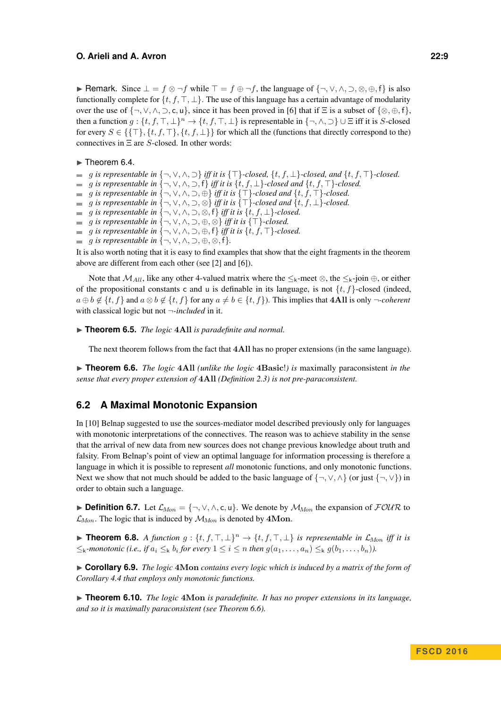#### **O. Arieli and A. Avron 22:9**

**► Remark.** Since  $\bot = f \otimes \neg f$  while  $\top = f \oplus \neg f$ , the language of  $\{\neg, \lor, \land, \neg, \otimes, \oplus, f\}$  is also functionally complete for  $\{t, f, \top, \bot\}$ . The use of this language has a certain advantage of modularity over the use of  $\{\neg, \vee, \wedge, \neg, c, u\}$ , since it has been proved in [\[6\]](#page-13-20) that if  $\Xi$  is a subset of  $\{\otimes, \oplus, f\}$ , then a function  $g: \{t, f, \top, \bot\}^n \to \{t, f, \top, \bot\}$  is representable in  $\{\neg, \land, \supset\} \cup \Xi$  iff it is *S*-closed for every  $S \in \{\{\top\}, \{t, f, \top\}, \{t, f, \bot\}\}\$  for which all the (functions that directly correspond to the) connectives in Ξ are *S*-closed. In other words:

#### $\blacktriangleright$  Theorem 6.4.

- *<i>g* is representable in {¬, ∨, ∧,  $\supset$ } *iff it is* { $\top$ }*-closed,* {*t, f,* ⊥}*-closed, and* {*t, f,*  $\top$ }*-closed.*
- *g is representable in*  $\{-, \vee, \wedge, \supset, f\}$  *iff it is*  $\{t, f, \perp\}$ *-closed and*  $\{t, f, \top\}$ *-closed.*
- *g* is representable in {¬, ∨, ∧, ⊃, ⊕} iff it is { $\top$ }-closed and { $t, f, \top$ }-closed.
- *g* is representable in {¬, ∨, ∧, ⊃, ⊗} iff it is { $\top$ }-closed and { $t, f, \bot$ }-closed.
- $g$  *is representable in*  $\{-, \vee, \wedge, \supset, \otimes, f\}$  *iff it is*  $\{t, f, \perp\}$ *-closed.*
- $\therefore$  *g is representable in*  $\{-\sqrt{6}, \sqrt{6}, \sqrt{2}, \oplus, \otimes\}$  *iff it is*  $\{\top\}$ -closed.
- $\blacksquare$  *g is representable in* {¬, ∨, ∧, ⊃, ⊕, f} *iff it is* {*t*, *f*, ⊤}-closed.
- $\blacksquare$  *g is representable in*  $\{\neg, \vee, \wedge, \neg, \oplus, \otimes, \neg\}$ *.*

It is also worth noting that it is easy to find examples that show that the eight fragments in the theorem above are different from each other (see [\[2\]](#page-13-4) and [\[6\]](#page-13-20)).

Note that  $M_{All}$ , like any other 4-valued matrix where the  $\leq_k$ -meet ⊗, the  $\leq_k$ -join ⊕, or either of the propositional constants c and u is definable in its language, is not {*t, f*}-closed (indeed,  $a \oplus b \notin \{t, f\}$  and  $a \otimes b \notin \{t, f\}$  for any  $a \neq b \in \{t, f\}$ . This implies that **4All** is only ¬*-coherent* with classical logic but not ¬*-included* in it.

▶ **Theorem 6.5.** *The logic* 4All *is paradefinite and normal.* 

The next theorem follows from the fact that **4All** has no proper extensions (in the same language).

<span id="page-8-0"></span>▶ **Theorem 6.6.** *The logic 4All (unlike the logic 4Basic!) is maximally paraconsistent in the sense that every proper extension of* **4All** *(Definition [2.3\)](#page-1-1) is not pre-paraconsistent.*

## **6.2 A Maximal Monotonic Expansion**

In [\[10\]](#page-13-3) Belnap suggested to use the sources-mediator model described previously only for languages with monotonic interpretations of the connectives. The reason was to achieve stability in the sense that the arrival of new data from new sources does not change previous knowledge about truth and falsity. From Belnap's point of view an optimal language for information processing is therefore a language in which it is possible to represent *all* monotonic functions, and only monotonic functions. Next we show that not much should be added to the basic language of  $\{\neg, \vee, \wedge\}$  (or just  $\{\neg, \vee\}$ ) in order to obtain such a language.

**► Definition 6.7.** Let  $\mathcal{L}_{Mon} = \{\neg, \vee, \wedge, \infty, \mathsf{u}\}.$  We denote by  $\mathcal{M}_{Mon}$  the expansion of  $\mathcal{FOUR}$  to  $\mathcal{L}_{Mon}$ . The logic that is induced by  $\mathcal{M}_{Mon}$  is denoted by 4Mon.

**► Theorem 6.8.** *A function*  $g: \{t, f, \top, \bot\}^n \to \{t, f, \top, \bot\}$  *is representable in*  $\mathcal{L}_{Mon}$  *iff it is*  $\leq$ <sub>k</sub>-monotonic (i.e., if  $a_i \leq_k b_i$  for every  $1 \leq i \leq n$  then  $g(a_1, \ldots, a_n) \leq_k g(b_1, \ldots, b_n)$ ).

▶ Corollary 6.9. *The logic* 4Mon *contains every logic which is induced by a matrix of the form of Corollary [4.4](#page-4-2) that employs only monotonic functions.*

▶ **Theorem 6.10.** *The logic* 4Mon *is paradefinite. It has no proper extensions in its language, and so it is maximally paraconsistent (see Theorem [6.6\)](#page-8-0).*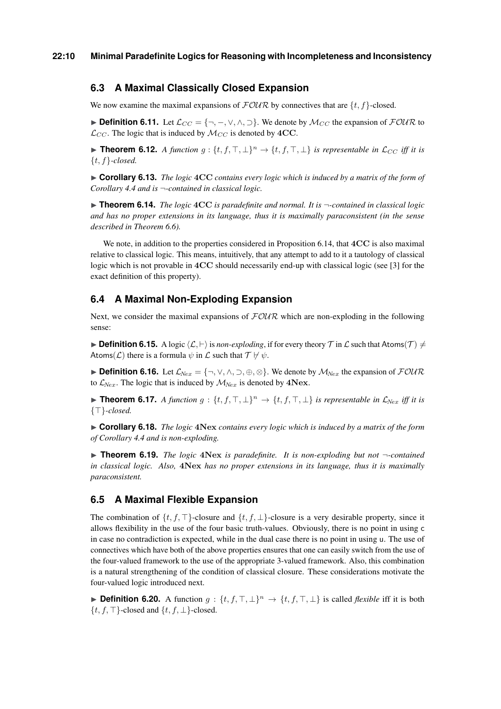# **6.3 A Maximal Classically Closed Expansion**

We now examine the maximal expansions of  $\text{FOUR}$  by connectives that are  $\{t, f\}$ -closed.

**► Definition 6.11.** Let  $\mathcal{L}_{CC} = \{\neg, -\vee, \wedge, \neg\}$ . We denote by  $\mathcal{M}_{CC}$  the expansion of  $\mathcal{FOUR}$  to  $\mathcal{L}_{CC}$ . The logic that is induced by  $\mathcal{M}_{CC}$  is denoted by 4CC.

**► Theorem 6.12.** *A function*  $g: \{t, f, \top, \bot\}^n \to \{t, f, \top, \bot\}$  *is representable in*  $\mathcal{L}_{CC}$  *iff it is* {*t, f*}*-closed.*

► **Corollary 6.13.** *The logic 4CC contains every logic which is induced by a matrix of the form of Corollary [4.4](#page-4-2) and is* ¬*-contained in classical logic.*

<span id="page-9-0"></span> $\triangleright$  **Theorem 6.14.** *The logic*  $4CC$  *is paradefinite and normal. It is*  $\neg$ -contained in classical logic *and has no proper extensions in its language, thus it is maximally paraconsistent (in the sense described in Theorem [6.6\)](#page-8-0).*

We note, in addition to the properties considered in Proposition [6.14,](#page-9-0) that **4CC** is also maximal relative to classical logic. This means, intuitively, that any attempt to add to it a tautology of classical logic which is not provable in **4CC** should necessarily end-up with classical logic (see [\[3\]](#page-13-5) for the exact definition of this property).

## **6.4 A Maximal Non-Exploding Expansion**

Next, we consider the maximal expansions of  $FOUR$  which are non-exploding in the following sense:

**Definition 6.15.** A logic  $\langle L, \vdash \rangle$  is *non-exploding*, if for every theory T in L such that Atoms(T)  $\neq$ Atoms(*C*) there is a formula  $\psi$  in *L* such that  $\mathcal{T} \nvDash \psi$ .

**► Definition 6.16.** Let  $\mathcal{L}_{Nex} = \{\neg, \vee, \wedge, \supset, \oplus, \otimes\}$ . We denote by  $\mathcal{M}_{Nex}$  the expansion of  $\mathcal{FOUR}$ to  $\mathcal{L}_{Nex}$ . The logic that is induced by  $\mathcal{M}_{Nex}$  is denoted by  $4Nex$ .

**► Theorem 6.17.** *A function*  $g: \{t, f, \top, \bot\}^n \to \{t, f, \top, \bot\}$  *is representable in*  $\mathcal{L}_{Nex}$  *iff it is*  $\{\top\}$ -closed.

► **Corollary 6.18.** *The logic 4Nex contains every logic which is induced by a matrix of the form of Corollary [4.4](#page-4-2) and is non-exploding.*

 $\triangleright$  **Theorem 6.19.** *The logic* 4Nex *is paradefinite. It is non-exploding but not*  $\neg$ -contained *in classical logic. Also,* **4Nex** *has no proper extensions in its language, thus it is maximally paraconsistent.*

## **6.5 A Maximal Flexible Expansion**

The combination of  $\{t, f, \top\}$ -closure and  $\{t, f, \bot\}$ -closure is a very desirable property, since it allows flexibility in the use of the four basic truth-values. Obviously, there is no point in using c in case no contradiction is expected, while in the dual case there is no point in using u. The use of connectives which have both of the above properties ensures that one can easily switch from the use of the four-valued framework to the use of the appropriate 3-valued framework. Also, this combination is a natural strengthening of the condition of classical closure. These considerations motivate the four-valued logic introduced next.

**► Definition 6.20.** A function  $g: \{t, f, \top, \bot\}^n \to \{t, f, \top, \bot\}$  is called *flexible* iff it is both  $\{t, f, \top\}$ -closed and  $\{t, f, \bot\}$ -closed.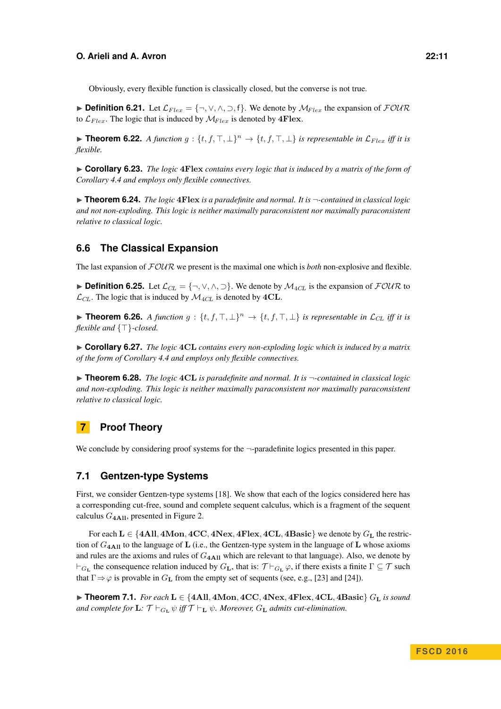Obviously, every flexible function is classically closed, but the converse is not true.

**► Definition 6.21.** Let  $\mathcal{L}_{Flex} = \{\neg, \vee, \wedge, \supset, \neg\}$ . We denote by  $\mathcal{M}_{Flex}$  the expansion of  $\mathcal{FOUR}$ to  $\mathcal{L}_{Flex}$ . The logic that is induced by  $\mathcal{M}_{Flex}$  is denoted by  $4Flex$ .

**► Theorem 6.22.** *A function g* : { $t, f, \top, \bot$ }<sup>*n*</sup>  $\rightarrow$  { $t, f, \top, \bot$ } *is representable in*  $\mathcal{L}_{Flex}$  *iff it is flexible.*

► **Corollary 6.23.** *The logic 4Flex contains every logic that is induced by a matrix of the form of Corollary [4.4](#page-4-2) and employs only flexible connectives.*

 $\triangleright$  **Theorem 6.24.** *The logic* 4 **Flex** *is a paradefinite and normal. It is*  $\neg$ -contained in classical logic *and not non-exploding. This logic is neither maximally paraconsistent nor maximally paraconsistent relative to classical logic.*

## **6.6 The Classical Expansion**

The last expansion of FOUR we present is the maximal one which is *both* non-explosive and flexible.

**► Definition 6.25.** Let  $\mathcal{L}_{CL} = \{\neg, \vee, \wedge, \supset\}$ . We denote by  $\mathcal{M}_{4CL}$  is the expansion of  $\mathcal{FOUR}$  to  $\mathcal{L}_{CL}$ . The logic that is induced by  $\mathcal{M}_{4CL}$  is denoted by  $4CL$ .

**► Theorem 6.26.** *A function g* :  $\{t, f, \top, \bot\}^n \to \{t, f, \top, \bot\}$  *is representable in*  $\mathcal{L}_{CL}$  *iff it is flexible and*  $\{\top\}$ -closed.

► **Corollary 6.27.** *The logic* 4CL *contains every non-exploding logic which is induced by a matrix of the form of Corollary [4.4](#page-4-2) and employs only flexible connectives.*

**► Theorem 6.28.** *The logic* 4CL *is paradefinite and normal. It is*  $\neg$ -contained in classical logic *and non-exploding. This logic is neither maximally paraconsistent nor maximally paraconsistent relative to classical logic.*

# **7 Proof Theory**

We conclude by considering proof systems for the  $\neg$ -paradefinite logics presented in this paper.

## **7.1 Gentzen-type Systems**

First, we consider Gentzen-type systems [\[18\]](#page-13-21). We show that each of the logics considered here has a corresponding cut-free, sound and complete sequent calculus, which is a fragment of the sequent calculus *G***4All**, presented in Figure [2.](#page-11-0)

For each  $L \in \{4AII, 4Mon, 4CC, 4Next, 4Flex, 4CL, 4Basic\}$  we denote by  $G_L$  the restriction of  $G_{4\text{All}}$  to the language of **L** (i.e., the Gentzen-type system in the language of **L** whose axioms and rules are the axioms and rules of  $G_{4\text{All}}$  which are relevant to that language). Also, we denote by  $\vdash_{G_{\bf L}}$  the consequence relation induced by  $G_{\bf L}$ , that is:  $\mathcal{T} \vdash_{G_{\bf L}} \varphi$ , if there exists a finite  $\Gamma \subseteq \mathcal{T}$  such that  $\Gamma \Rightarrow \varphi$  is provable in  $G_{\mathbf{L}}$  from the empty set of sequents (see, e.g., [\[23\]](#page-13-22) and [\[24\]](#page-13-23)).

<span id="page-10-0"></span>I **Theorem 7.1.** *For each* **L** ∈ {**4All***,* **4Mon***,* **4CC***,* **4Nex***,* **4Flex***,* **4CL***,* **4Basic**} *G***<sup>L</sup>** *is sound and complete for*  $\mathbf{L}$ *:*  $\mathcal{T} \vdash_{G_{\mathbf{L}}} \psi$  *iff*  $\mathcal{T} \vdash_{\mathbf{L}} \psi$ *. Moreover,*  $G_{\mathbf{L}}$  *admits cut-elimination.*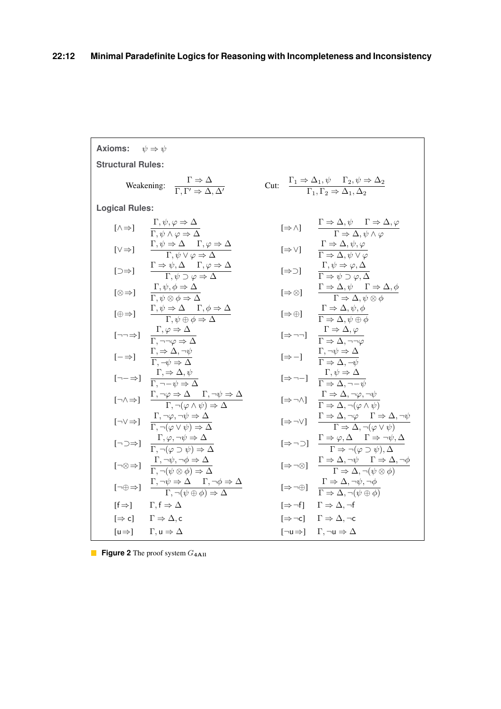<span id="page-11-0"></span>

| Axioms: $\psi \Rightarrow \psi$ |                                                                                                                                                                                  |                                                                                                                                                |                                                                                                                                                                                            |  |  |  |  |  |  |
|---------------------------------|----------------------------------------------------------------------------------------------------------------------------------------------------------------------------------|------------------------------------------------------------------------------------------------------------------------------------------------|--------------------------------------------------------------------------------------------------------------------------------------------------------------------------------------------|--|--|--|--|--|--|
| <b>Structural Rules:</b>        |                                                                                                                                                                                  |                                                                                                                                                |                                                                                                                                                                                            |  |  |  |  |  |  |
|                                 | Weakening: $\frac{\Gamma \Rightarrow \Delta}{\Gamma \Gamma' \Rightarrow \Delta \Delta'}$                                                                                         | Cut: $\frac{\Gamma_1 \Rightarrow \Delta_1, \psi \quad \Gamma_2, \psi \Rightarrow \Delta_2}{\Gamma_1, \Gamma_2 \Rightarrow \Delta_1, \Delta_2}$ |                                                                                                                                                                                            |  |  |  |  |  |  |
| <b>Logical Rules:</b>           |                                                                                                                                                                                  |                                                                                                                                                |                                                                                                                                                                                            |  |  |  |  |  |  |
|                                 | $[\wedge \Rightarrow] \qquad \frac{\Gamma, \psi, \varphi \Rightarrow \Delta}{\Gamma, \psi \wedge \varphi \Rightarrow \Delta}$                                                    |                                                                                                                                                | $[\Rightarrow \wedge] \qquad \frac{\Gamma \Rightarrow \Delta, \psi \qquad \Gamma \Rightarrow \Delta, \varphi}{\Gamma \Rightarrow \Delta, \psi \wedge \varphi}$                             |  |  |  |  |  |  |
|                                 | $[\vee \Rightarrow] \qquad \frac{\Gamma, \psi \Rightarrow \Delta \qquad \Gamma, \varphi \Rightarrow \Delta}{\Gamma, \psi \vee \varphi \Rightarrow \Delta}$                       |                                                                                                                                                | $\left[\Rightarrow\vee\right] \qquad \frac{\Gamma\Rightarrow\Delta,\psi,\varphi}{\Gamma\Rightarrow\Delta,\psi\vee\varphi}$                                                                 |  |  |  |  |  |  |
| $[\Rightarrow]$                 | $\frac{\Gamma \Rightarrow \psi, \Delta \quad \Gamma, \varphi \Rightarrow \Delta}{\Gamma, \psi \supset \varphi \Rightarrow \Delta}$                                               |                                                                                                                                                | $\lbrack \Rightarrow \supset \rbrack \qquad \frac{\Gamma, \psi \Rightarrow \varphi, \Delta}{\Gamma \Rightarrow \psi \supset \varphi, \Delta}$                                              |  |  |  |  |  |  |
|                                 | $[\otimes \Rightarrow] \qquad \frac{\Gamma, \psi, \phi \Rightarrow \Delta}{\Gamma, \psi \otimes \phi \Rightarrow \Delta}$                                                        |                                                                                                                                                | $[\Rightarrow \otimes] \qquad \frac{\Gamma \Rightarrow \Delta, \psi \qquad \Gamma \Rightarrow \Delta, \phi}{\Gamma \Rightarrow \Delta, \psi \otimes \phi}$                                 |  |  |  |  |  |  |
|                                 | $[\oplus \Rightarrow] \qquad \frac{\Gamma, \psi \Rightarrow \Delta \qquad \Gamma, \phi \Rightarrow \Delta}{\Gamma, \psi \oplus \phi \Rightarrow \Delta}$                         |                                                                                                                                                | $[\Rightarrow \oplus] \qquad \frac{\Gamma \Rightarrow \Delta, \psi, \phi}{\Gamma \Rightarrow \Delta, \psi \oplus \phi}$                                                                    |  |  |  |  |  |  |
|                                 | $\lbrack \neg \neg \Rightarrow \rbrack \quad \frac{\Gamma, \varphi \Rightarrow \Delta}{\Gamma, \neg \neg \varphi \Rightarrow \Delta}$                                            |                                                                                                                                                | $\label{eq:3.1} [\Rightarrow \neg \neg] \quad \frac{\Gamma \Rightarrow \Delta, \varphi}{\Gamma \Rightarrow \Delta, \neg \neg \varphi}$                                                     |  |  |  |  |  |  |
|                                 | $[-\Rightarrow] \qquad \frac{\Gamma, \Rightarrow \Delta, \neg \psi}{\Gamma, \neg \psi \Rightarrow \Delta}$                                                                       |                                                                                                                                                | $\left[\Rightarrow -\right] \qquad \frac{\Gamma, \neg \psi \Rightarrow \Delta}{\Gamma \Rightarrow \Delta, \neg \psi}$                                                                      |  |  |  |  |  |  |
|                                 | $\lbrack \neg - \Rightarrow \rbrack \quad \frac{\Gamma, \Rightarrow \Delta, \psi}{\Gamma, \neg - \psi \Rightarrow \Delta}$                                                       |                                                                                                                                                | $\begin{array}{ccc} [\Rightarrow \neg -] & \frac{\Gamma, \psi \Rightarrow \Delta}{\Gamma \Rightarrow \Delta, \neg -\psi} \end{array}$                                                      |  |  |  |  |  |  |
|                                 | $[\neg \land \Rightarrow] \quad \frac{\Gamma, \neg \varphi \Rightarrow \Delta \quad \Gamma, \neg \psi \Rightarrow \Delta}{\Gamma, \neg (\varphi \land \psi) \Rightarrow \Delta}$ |                                                                                                                                                | $\left[\Rightarrow\neg\wedge\right] \quad \frac{\Gamma\Rightarrow\Delta,\neg\varphi,\neg\psi}{\Gamma\Rightarrow\Delta,\neg(\varphi\wedge\psi)}$                                            |  |  |  |  |  |  |
|                                 | $[\neg \vee \Rightarrow] \quad \frac{\Gamma, \neg \varphi, \neg \psi \Rightarrow \Delta}{\Gamma, \neg (\varphi \vee \psi) \Rightarrow \Delta}$                                   |                                                                                                                                                | $[\Rightarrow \neg \vee] \quad \frac{\Gamma \Rightarrow \Delta, \neg \varphi \quad \Gamma \Rightarrow \Delta, \neg \psi}{\Gamma \Rightarrow \Delta, \neg (\varphi \vee \psi)}$             |  |  |  |  |  |  |
|                                 | $[\neg \supset \Rightarrow] \quad \frac{\Gamma, \varphi, \neg \psi \Rightarrow \Delta}{\Gamma, \neg(\varphi \supset \psi) \Rightarrow \Delta}$                                   |                                                                                                                                                | $\left[\Rightarrow \neg \supset\right] \quad \frac{\Gamma \Rightarrow \varphi, \Delta \quad \Gamma \Rightarrow \neg \psi, \Delta}{\Gamma \Rightarrow \neg (\varphi \supset \psi), \Delta}$ |  |  |  |  |  |  |
|                                 | $[\neg \otimes \Rightarrow] \quad \frac{\Gamma, \neg \psi, \neg \phi \Rightarrow \Delta}{\Gamma, \neg (\psi \otimes \phi) \Rightarrow \Delta}$                                   |                                                                                                                                                | $\left[\Rightarrow\neg\otimes\right] \quad \frac{\Gamma\Rightarrow\Delta,\neg\psi \quad \Gamma\Rightarrow\Delta,\neg\phi}{\Gamma\Rightarrow\Delta,\neg(\psi\otimes\phi)}$                  |  |  |  |  |  |  |
|                                 | $[\neg \oplus \Rightarrow] \quad \frac{\Gamma, \neg \psi \Rightarrow \Delta \quad \Gamma, \neg \phi \Rightarrow \Delta}{\Gamma, \neg (\psi \oplus \phi) \Rightarrow \Delta}$     |                                                                                                                                                | $[\Rightarrow \neg \oplus] \quad \frac{\Gamma \Rightarrow \Delta, \neg \psi, \neg \phi}{\Gamma \Rightarrow \Delta, \neg(\psi \oplus \phi)}$                                                |  |  |  |  |  |  |
|                                 | $[f \Rightarrow] \qquad \Gamma, f \Rightarrow \Delta$                                                                                                                            |                                                                                                                                                | $[\Rightarrow \neg f]$ $\Gamma \Rightarrow \Delta, \neg f$                                                                                                                                 |  |  |  |  |  |  |
|                                 | $[\Rightarrow c]$ $\Gamma \Rightarrow \Delta, c$                                                                                                                                 |                                                                                                                                                | $[\Rightarrow \neg c]$ $\Gamma \Rightarrow \Delta, \neg c$                                                                                                                                 |  |  |  |  |  |  |
|                                 | $[u \Rightarrow]$ $\Gamma, u \Rightarrow \Delta$                                                                                                                                 |                                                                                                                                                | $[\neg u \Rightarrow] \quad \Gamma, \neg u \Rightarrow \Delta$                                                                                                                             |  |  |  |  |  |  |

**Figure 2** The proof system  $G_{4\text{All}}$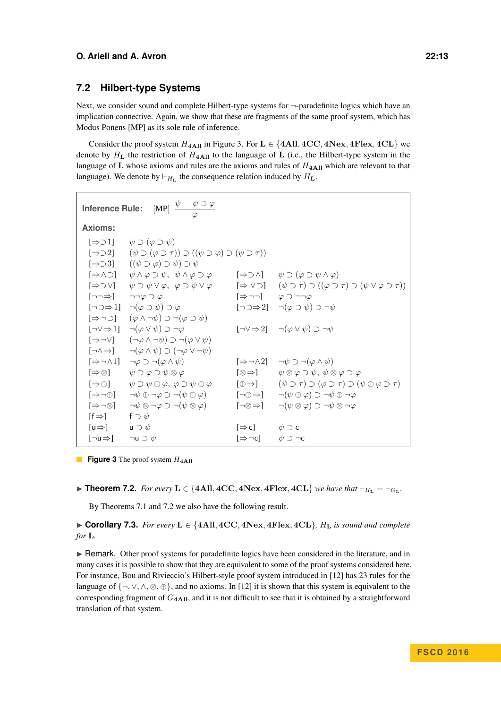# **7.2 Hilbert-type Systems**

Next, we consider sound and complete Hilbert-type systems for  $\neg$ -paradefinite logics which have an implication connective. Again, we show that these are fragments of the same proof system, which has Modus Ponens [MP] as its sole rule of inference.

Consider the proof system  $H_{4 \text{All}}$  in Figure [3.](#page-12-0) For  $\mathbf{L} \in \{4 \text{All}, 4 \text{CC}, 4 \text{Nex}, 4 \text{Flex}, 4 \text{CL}\}\$  we denote by  $H<sub>L</sub>$  the restriction of  $H<sub>4</sub>A<sub>II</sub>$  to the language of **L** (i.e., the Hilbert-type system in the language of  $L$  whose axioms and rules are the axioms and rules of  $H_{4\text{All}}$  which are relevant to that language). We denote by  $\vdash_{H_{\mathbf{L}}}$  the consequence relation induced by  $H_{\mathbf{L}}$ .

<span id="page-12-0"></span>

| $[MP] \begin{array}{c} \psi \quad \psi \supset \varphi \\ \varphi \end{array}$<br><b>Inference Rule:</b> |                                                                                                                        |                                                               |                                                                                                                              |  |  |  |  |
|----------------------------------------------------------------------------------------------------------|------------------------------------------------------------------------------------------------------------------------|---------------------------------------------------------------|------------------------------------------------------------------------------------------------------------------------------|--|--|--|--|
| Axioms:                                                                                                  |                                                                                                                        |                                                               |                                                                                                                              |  |  |  |  |
| $[\Rightarrow 01]$                                                                                       | $\psi \supset (\varphi \supset \psi)$                                                                                  |                                                               |                                                                                                                              |  |  |  |  |
|                                                                                                          | $[\Rightarrow 2]$ $(\psi \supset (\varphi \supset \tau)) \supset ((\psi \supset \varphi) \supset (\psi \supset \tau))$ |                                                               |                                                                                                                              |  |  |  |  |
|                                                                                                          | $[\Rightarrow 3]$ $((\psi \supset \varphi) \supset \psi) \supset \psi$                                                 |                                                               |                                                                                                                              |  |  |  |  |
| $[\Rightarrow \wedge \supset]$                                                                           | $\psi \wedge \varphi \supset \psi$ , $\psi \wedge \varphi \supset \varphi$                                             |                                                               | $[\Rightarrow \supset \wedge]$ $\psi \supset (\varphi \supset \psi \wedge \varphi)$                                          |  |  |  |  |
| $[\Rightarrow \supset \vee]$                                                                             | $\psi \supset \psi \vee \varphi$ , $\varphi \supset \psi \vee \varphi$                                                 |                                                               | $[\Rightarrow \vee \supset]$ $(\psi \supset \tau) \supset ((\varphi \supset \tau) \supset (\psi \vee \varphi \supset \tau))$ |  |  |  |  |
|                                                                                                          | $[\neg\neg \Rightarrow] \qquad \neg \neg \varphi \supset \varphi$                                                      | $[\Rightarrow \neg \neg]$ $\varphi \supset \neg \neg \varphi$ |                                                                                                                              |  |  |  |  |
|                                                                                                          | $[\neg \supset \Rightarrow 1]$ $\neg(\varphi \supset \psi) \supset \varphi$                                            |                                                               | $\lceil \neg \supset \Rightarrow 2 \rceil$ $\lnot (\varphi \supset \psi) \supset \neg \psi$                                  |  |  |  |  |
|                                                                                                          | $[\Rightarrow \neg \supset]$ $(\varphi \wedge \neg \psi) \supset \neg (\varphi \supset \psi)$                          |                                                               |                                                                                                                              |  |  |  |  |
|                                                                                                          | $[\neg \vee \Rightarrow 1]$ $\neg(\varphi \vee \psi) \supset \neg \varphi$                                             |                                                               | $[\neg \vee \Rightarrow 2]$ $\neg(\varphi \vee \psi) \supset \neg \psi$                                                      |  |  |  |  |
|                                                                                                          | $[\Rightarrow \neg \lor]$ $(\neg \varphi \land \neg \psi) \supset \neg (\varphi \lor \psi)$                            |                                                               |                                                                                                                              |  |  |  |  |
|                                                                                                          | $[\neg \land \Rightarrow] \qquad \neg(\varphi \land \psi) \supset (\neg \varphi \lor \neg \psi)$                       |                                                               |                                                                                                                              |  |  |  |  |
|                                                                                                          | $[\Rightarrow \neg \wedge 1]$ $\neg \varphi \supset \neg (\varphi \wedge \psi)$                                        |                                                               | $[\Rightarrow \neg \wedge 2]$ $\neg \psi \supset \neg (\varphi \wedge \psi)$                                                 |  |  |  |  |
|                                                                                                          | $[\Rightarrow \otimes] \qquad \psi \supset \varphi \supset \psi \otimes \varphi$                                       | $\lceil \otimes \Rightarrow \rceil$                           | $\psi \otimes \varphi \supset \psi$ , $\psi \otimes \varphi \supset \varphi$                                                 |  |  |  |  |
|                                                                                                          | $[\Rightarrow \oplus] \qquad \psi \supset \psi \oplus \varphi, \ \varphi \supset \psi \oplus \varphi$                  | $[\oplus \Rightarrow]$                                        | $(\psi \supset \tau) \supset (\varphi \supset \tau) \supset (\psi \oplus \varphi \supset \tau)$                              |  |  |  |  |
| $[\Rightarrow \neg \oplus]$                                                                              | $\neg \psi \oplus \neg \varphi \supset \neg (\psi \oplus \varphi)$                                                     |                                                               | $[\neg \oplus \Rightarrow] \qquad \neg(\psi \oplus \varphi) \supset \neg \psi \oplus \neg \varphi$                           |  |  |  |  |
| $[\Rightarrow \neg \otimes]$                                                                             | $\neg \psi \otimes \neg \varphi \supset \neg (\psi \otimes \varphi)$                                                   | $\lceil \neg \otimes \Rightarrow \rceil$                      | $\neg(\psi \otimes \varphi) \supset \neg \psi \otimes \neg \varphi$                                                          |  |  |  |  |
| $[f \Rightarrow]$                                                                                        | f $\supset \psi$                                                                                                       |                                                               |                                                                                                                              |  |  |  |  |
| [u $\Rightarrow$ ] $u \supset \psi$                                                                      |                                                                                                                        | $[\Rightarrow c]$ $\psi \supset c$                            |                                                                                                                              |  |  |  |  |
| $[\neg \mathsf{u} \Rightarrow] \qquad \neg \mathsf{u} \supset \psi$                                      |                                                                                                                        | $[\Rightarrow \neg c]$ $\psi \supset \neg c$                  |                                                                                                                              |  |  |  |  |

- **Figure 3** The proof system  $H_{4\text{All}}$
- <span id="page-12-1"></span>▶ **Theorem 7.2.** *For every*  $L \in \{4All, 4CC, 4Next, 4Flex, 4CL\}$  *we have that*  $\vdash_{H_{\text{L}}} = \vdash_{G_{\text{L}}}$ *.*

By Theorems [7.1](#page-10-0) and [7.2](#page-12-1) we also have the following result.

I **Corollary 7.3.** *For every* **L** ∈ {**4All***,* **4CC***,* **4Nex***,* **4Flex***,* **4CL**}*, H***<sup>L</sup>** *is sound and complete for* **L***.*

**In Remark.** Other proof systems for paradefinite logics have been considered in the literature, and in many cases it is possible to show that they are equivalent to some of the proof systems considered here. For instance, Bou and Rivieccio's Hilbert-style proof system introduced in [\[12\]](#page-13-24) has 23 rules for the language of  $\{\neg, \vee, \wedge, \otimes, \oplus\}$ , and no axioms. In [\[12\]](#page-13-24) it is shown that this system is equivalent to the corresponding fragment of *G***4All**, and it is not difficult to see that it is obtained by a straightforward translation of that system.